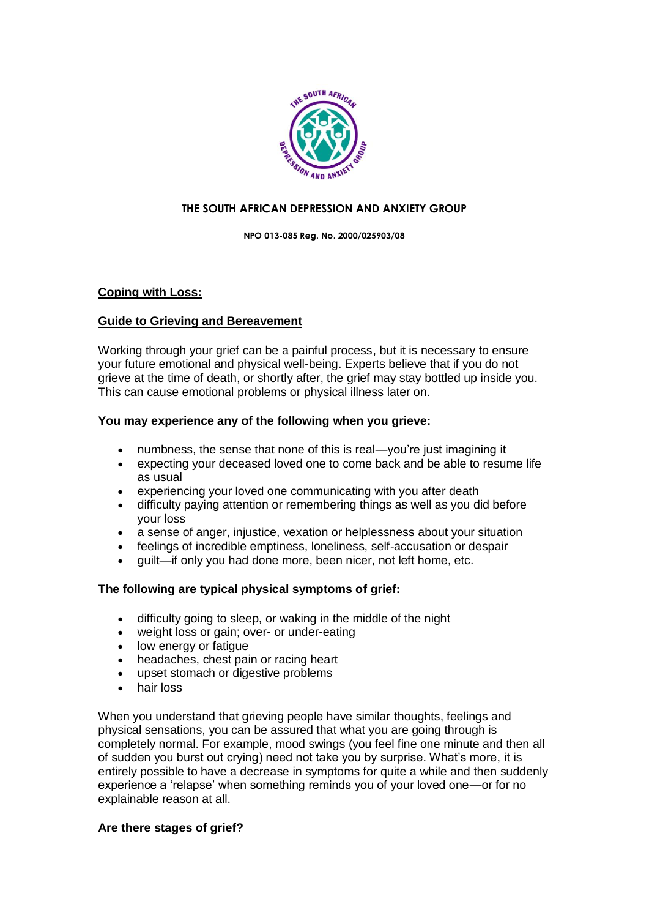

# **THE SOUTH AFRICAN DEPRESSION AND ANXIETY GROUP**

**NPO 013-085 Reg. No. 2000/025903/08**

# **Coping with Loss:**

# **Guide to Grieving and Bereavement**

Working through your grief can be a painful process, but it is necessary to ensure your future emotional and physical well-being. Experts believe that if you do not grieve at the time of death, or shortly after, the grief may stay bottled up inside you. This can cause emotional problems or physical illness later on.

# **You may experience any of the following when you grieve:**

- numbness, the sense that none of this is real—you're just imagining it
- expecting your deceased loved one to come back and be able to resume life as usual
- experiencing your loved one communicating with you after death
- difficulty paying attention or remembering things as well as you did before your loss
- a sense of anger, injustice, vexation or helplessness about your situation
- feelings of incredible emptiness, loneliness, self-accusation or despair
- guilt—if only you had done more, been nicer, not left home, etc.

# **The following are typical physical symptoms of grief:**

- difficulty going to sleep, or waking in the middle of the night
- weight loss or gain; over- or under-eating
- low energy or fatigue
- headaches, chest pain or racing heart
- upset stomach or digestive problems
- hair loss

When you understand that grieving people have similar thoughts, feelings and physical sensations, you can be assured that what you are going through is completely normal. For example, mood swings (you feel fine one minute and then all of sudden you burst out crying) need not take you by surprise. What's more, it is entirely possible to have a decrease in symptoms for quite a while and then suddenly experience a 'relapse' when something reminds you of your loved one—or for no explainable reason at all.

# **Are there stages of grief?**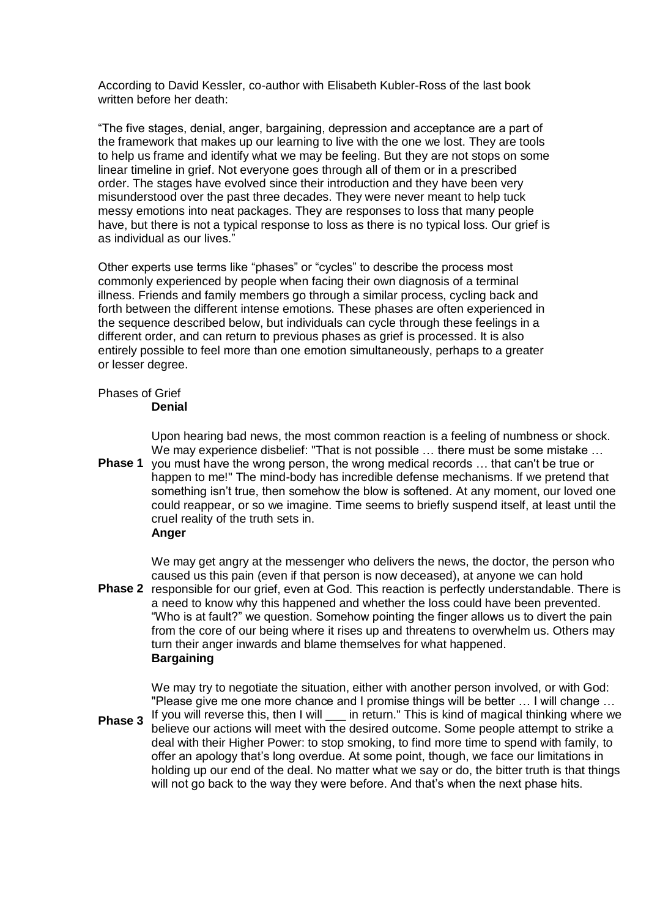According to David Kessler, co-author with Elisabeth Kubler-Ross of the last book written before her death:

―The five stages, denial, anger, bargaining, depression and acceptance are a part of the framework that makes up our learning to live with the one we lost. They are tools to help us frame and identify what we may be feeling. But they are not stops on some linear timeline in grief. Not everyone goes through all of them or in a prescribed order. The stages have evolved since their introduction and they have been very misunderstood over the past three decades. They were never meant to help tuck messy emotions into neat packages. They are responses to loss that many people have, but there is not a typical response to loss as there is no typical loss. Our grief is as individual as our lives."

Other experts use terms like "phases" or "cycles" to describe the process most commonly experienced by people when facing their own diagnosis of a terminal illness. Friends and family members go through a similar process, cycling back and forth between the different intense emotions. These phases are often experienced in the sequence described below, but individuals can cycle through these feelings in a different order, and can return to previous phases as grief is processed. It is also entirely possible to feel more than one emotion simultaneously, perhaps to a greater or lesser degree.

# Phases of Grief

#### **Denial**

Upon hearing bad news, the most common reaction is a feeling of numbness or shock. We may experience disbelief: "That is not possible ... there must be some mistake ...

**Phase 1**  you must have the wrong person, the wrong medical records … that can't be true or happen to me!" The mind-body has incredible defense mechanisms. If we pretend that something isn't true, then somehow the blow is softened. At any moment, our loved one could reappear, or so we imagine. Time seems to briefly suspend itself, at least until the cruel reality of the truth sets in.

# **Anger**

Phase 2 responsible for our grief, even at God. This reaction is perfectly understandable. There is We may get angry at the messenger who delivers the news, the doctor, the person who caused us this pain (even if that person is now deceased), at anyone we can hold a need to know why this happened and whether the loss could have been prevented. "Who is at fault?" we question. Somehow pointing the finger allows us to divert the pain from the core of our being where it rises up and threatens to overwhelm us. Others may turn their anger inwards and blame themselves for what happened. **Bargaining** 

We may try to negotiate the situation, either with another person involved, or with God: "Please give me one more chance and I promise things will be better … I will change …

**Phase 3**  If you will reverse this, then I will \_\_\_ in return." This is kind of magical thinking where we believe our actions will meet with the desired outcome. Some people attempt to strike a deal with their Higher Power: to stop smoking, to find more time to spend with family, to offer an apology that's long overdue. At some point, though, we face our limitations in holding up our end of the deal. No matter what we say or do, the bitter truth is that things will not go back to the way they were before. And that's when the next phase hits.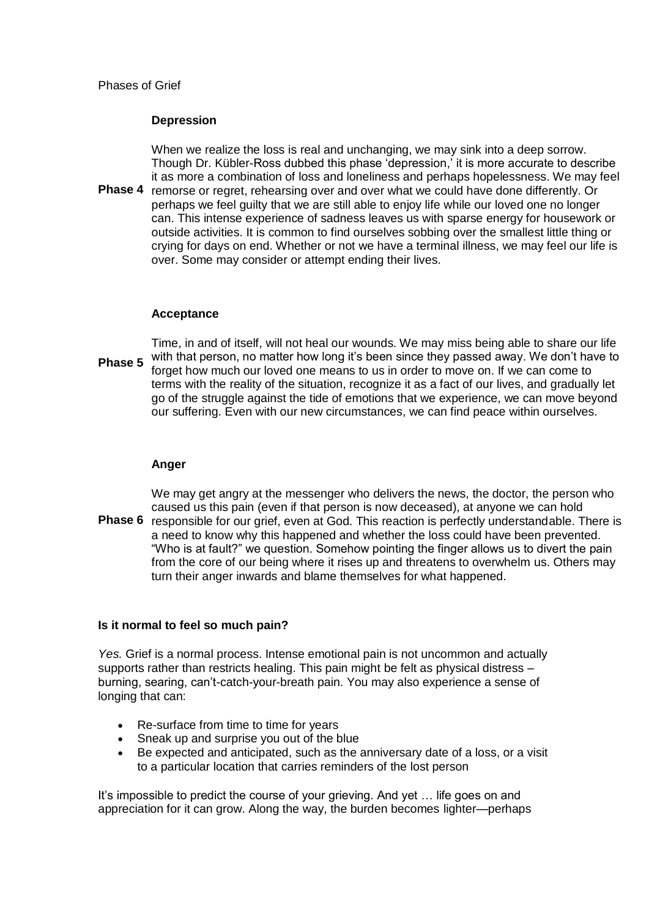## **Depression**

**Phase 4**  When we realize the loss is real and unchanging, we may sink into a deep sorrow. Though Dr. Kübler-Ross dubbed this phase ‗depression,' it is more accurate to describe it as more a combination of loss and loneliness and perhaps hopelessness. We may feel remorse or regret, rehearsing over and over what we could have done differently. Or perhaps we feel guilty that we are still able to enjoy life while our loved one no longer can. This intense experience of sadness leaves us with sparse energy for housework or outside activities. It is common to find ourselves sobbing over the smallest little thing or crying for days on end. Whether or not we have a terminal illness, we may feel our life is over. Some may consider or attempt ending their lives.

## **Acceptance**

**Phase 5**  Time, in and of itself, will not heal our wounds. We may miss being able to share our life with that person, no matter how long it's been since they passed away. We don't have to forget how much our loved one means to us in order to move on. If we can come to terms with the reality of the situation, recognize it as a fact of our lives, and gradually let go of the struggle against the tide of emotions that we experience, we can move beyond our suffering. Even with our new circumstances, we can find peace within ourselves.

#### **Anger**

We may get angry at the messenger who delivers the news, the doctor, the person who caused us this pain (even if that person is now deceased), at anyone we can hold

Phase 6 responsible for our grief, even at God. This reaction is perfectly understandable. There is a need to know why this happened and whether the loss could have been prevented. "Who is at fault?" we question. Somehow pointing the finger allows us to divert the pain from the core of our being where it rises up and threatens to overwhelm us. Others may turn their anger inwards and blame themselves for what happened.

# **Is it normal to feel so much pain?**

*Yes.* Grief is a normal process. Intense emotional pain is not uncommon and actually supports rather than restricts healing. This pain might be felt as physical distress – burning, searing, can't-catch-your-breath pain. You may also experience a sense of longing that can:

- Re-surface from time to time for years
- Sneak up and surprise you out of the blue
- Be expected and anticipated, such as the anniversary date of a loss, or a visit to a particular location that carries reminders of the lost person

It's impossible to predict the course of your grieving. And yet … life goes on and appreciation for it can grow. Along the way, the burden becomes lighter—perhaps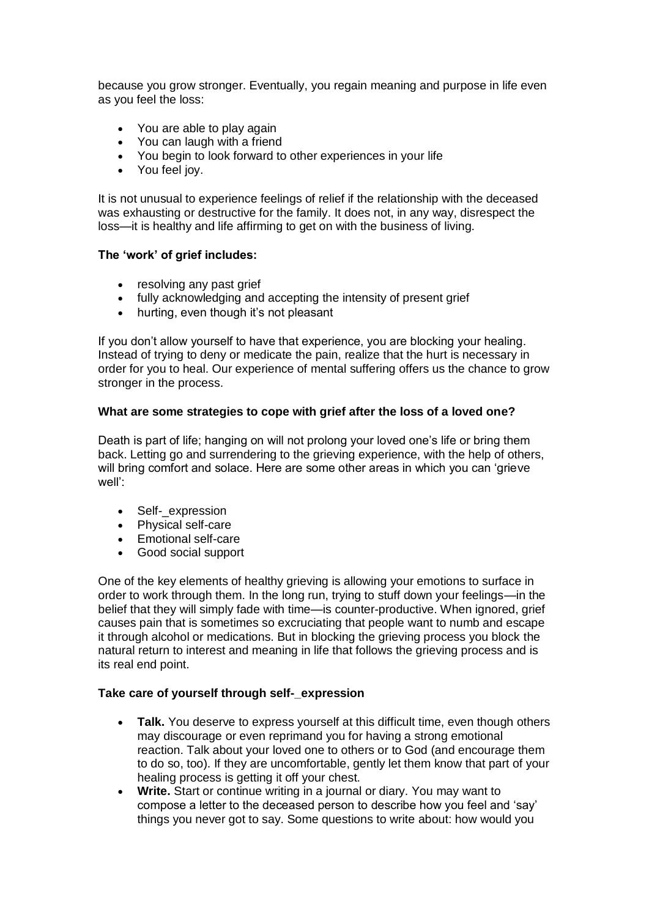because you grow stronger. Eventually, you regain meaning and purpose in life even as you feel the loss:

- You are able to play again
- You can laugh with a friend
- You begin to look forward to other experiences in your life
- You feel joy.

It is not unusual to experience feelings of relief if the relationship with the deceased was exhausting or destructive for the family. It does not, in any way, disrespect the loss—it is healthy and life affirming to get on with the business of living.

## **The 'work' of grief includes:**

- resolving any past grief
- fully acknowledging and accepting the intensity of present grief
- hurting, even though it's not pleasant

If you don't allow yourself to have that experience, you are blocking your healing. Instead of trying to deny or medicate the pain, realize that the hurt is necessary in order for you to heal. Our experience of mental suffering offers us the chance to grow stronger in the process.

## **What are some strategies to cope with grief after the loss of a loved one?**

Death is part of life; hanging on will not prolong your loved one's life or bring them back. Letting go and surrendering to the grieving experience, with the help of others, will bring comfort and solace. Here are some other areas in which you can 'grieve well':

- Self- expression
- Physical self-care
- Emotional self-care
- Good social support

One of the key elements of healthy grieving is allowing your emotions to surface in order to work through them. In the long run, trying to stuff down your feelings—in the belief that they will simply fade with time—is counter-productive. When ignored, grief causes pain that is sometimes so excruciating that people want to numb and escape it through alcohol or medications. But in blocking the grieving process you block the natural return to interest and meaning in life that follows the grieving process and is its real end point.

#### **Take care of yourself through self-\_expression**

- **Talk.** You deserve to express yourself at this difficult time, even though others may discourage or even reprimand you for having a strong emotional reaction. Talk about your loved one to others or to God (and encourage them to do so, too). If they are uncomfortable, gently let them know that part of your healing process is getting it off your chest.
- **Write.** Start or continue writing in a journal or diary. You may want to compose a letter to the deceased person to describe how you feel and 'say' things you never got to say. Some questions to write about: how would you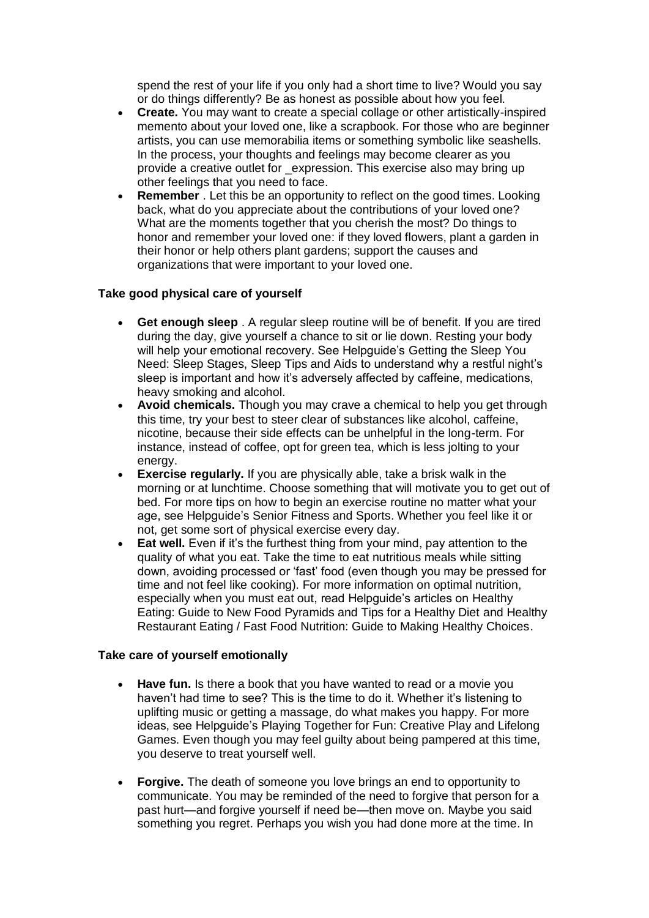spend the rest of your life if you only had a short time to live? Would you say or do things differently? Be as honest as possible about how you feel.

- **Create.** You may want to create a special collage or other artistically-inspired memento about your loved one, like a scrapbook. For those who are beginner artists, you can use memorabilia items or something symbolic like seashells. In the process, your thoughts and feelings may become clearer as you provide a creative outlet for \_expression. This exercise also may bring up other feelings that you need to face.
- **Remember** . Let this be an opportunity to reflect on the good times. Looking back, what do you appreciate about the contributions of your loved one? What are the moments together that you cherish the most? Do things to honor and remember your loved one: if they loved flowers, plant a garden in their honor or help others plant gardens; support the causes and organizations that were important to your loved one.

# **Take good physical care of yourself**

- **Get enough sleep** . A regular sleep routine will be of benefit. If you are tired during the day, give yourself a chance to sit or lie down. Resting your body will help your emotional recovery. See Helpguide's [Getting the Sleep You](http://www.helpguide.org/life/sleeping.htm)  [Need: Sleep Stages, Sleep Tips and Aids](http://www.helpguide.org/life/sleeping.htm) to understand why a restful night's sleep is important and how it's adversely affected by caffeine, medications, heavy smoking and alcohol.
- **Avoid chemicals.** Though you may crave a chemical to help you get through this time, try your best to steer clear of substances like alcohol, caffeine, nicotine, because their side effects can be unhelpful in the long-term. For instance, instead of coffee, opt for green tea, which is less jolting to your energy.
- **Exercise regularly.** If you are physically able, take a brisk walk in the morning or at lunchtime. Choose something that will motivate you to get out of bed. For more tips on how to begin an exercise routine no matter what your age, see Helpguide's [Senior Fitness and Sports.](http://www.helpguide.org/life/senior_fitness_sports.htm) Whether you feel like it or not, get some sort of physical exercise every day.
- **Eat well.** Even if it's the furthest thing from your mind, pay attention to the quality of what you eat. Take the time to eat nutritious meals while sitting down, avoiding processed or 'fast' food (even though you may be pressed for time and not feel like cooking). For more information on optimal nutrition, especially when you must eat out, read Helpguide's articles on [Healthy](http://www.helpguide.org/life/healthy_eating_diet.htm)  [Eating: Guide to New Food Pyramids and Tips for a Healthy Diet](http://www.helpguide.org/life/healthy_eating_diet.htm) and [Healthy](http://www.helpguide.org/life/fast_food_nutrition.htm)  [Restaurant Eating / Fast Food Nutrition: Guide to Making Healthy Choices.](http://www.helpguide.org/life/fast_food_nutrition.htm)

#### **Take care of yourself emotionally**

- **Have fun.** Is there a book that you have wanted to read or a movie you haven't had time to see? This is the time to do it. Whether it's listening to uplifting music or getting a massage, do what makes you happy. For more ideas, see Helpguide's [Playing Together for Fun: Creative Play and Lifelong](http://www.helpguide.org/life/creative_play_fun_games.htm)  [Games.](http://www.helpguide.org/life/creative_play_fun_games.htm) Even though you may feel guilty about being pampered at this time, you deserve to treat yourself well.
- **Forgive.** The death of someone you love brings an end to opportunity to communicate. You may be reminded of the need to forgive that person for a past hurt—and forgive yourself if need be—then move on. Maybe you said something you regret. Perhaps you wish you had done more at the time. In